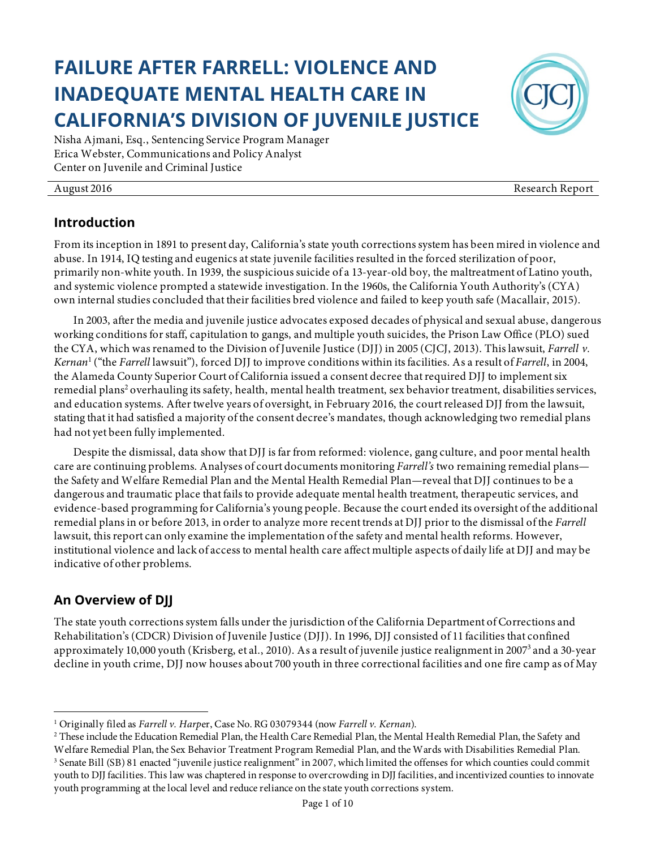# **FAILURE AFTER FARRELL: VIOLENCE AND INADEQUATE MENTAL HEALTH CARE IN CALIFORNIA'S DIVISION OF JUVENILE JUSTICE**

Nisha Ajmani, Esq., Sentencing Service Program Manager Erica Webster, Communications and Policy Analyst Center on Juvenile and Criminal Justice

#### August 2016 Research Report

#### **Introduction**

From its inception in 1891 to present day, California's state youth corrections system has been mired in violence and abuse. In 1914, IQ testing and eugenics at state juvenile facilities resulted in the forced sterilization of poor, primarily non-white youth. In 1939, the suspicious suicide of a 13-year-old boy, the maltreatment of Latino youth, and systemic violence prompted a statewide investigation. In the 1960s, the California Youth Authority's (CYA) own internal studies concluded that their facilities bred violence and failed to keep youth safe (Macallair, 2015).

In 2003, after the media and juvenile justice advocates exposed decades of physical and sexual abuse, dangerous working conditions for staff, capitulation to gangs, and multiple youth suicides, the Prison Law Office (PLO) sued the CYA, which was renamed to the Division of Juvenile Justice (DJJ) in 2005 (CJCJ, 2013). This lawsuit, *Farrell v. Kernan*<sup>1</sup> ("the *Farrell* lawsuit"), forced DJJ to improve conditions within its facilities. As a result of *Farrell*, in 2004, the Alameda County Superior Court of California issued a consent decree that required DJJ to implement six remedial plans<sup>2</sup> overhauling its safety, health, mental health treatment, sex behavior treatment, disabilities services, and education systems. After twelve years of oversight, in February 2016, the court released DJJ from the lawsuit, stating that it had satisfied a majority of the consent decree's mandates, though acknowledging two remedial plans had not yet been fully implemented.

Despite the dismissal, data show that DJJ is far from reformed: violence, gang culture, and poor mental health care are continuing problems. Analyses of court documents monitoring *Farrell's* two remaining remedial plans the Safety and Welfare Remedial Plan and the Mental Health Remedial Plan—reveal that DJJ continues to be a dangerous and traumatic place that fails to provide adequate mental health treatment, therapeutic services, and evidence-based programming for California's young people. Because the court ended its oversight of the additional remedial plans in or before 2013, in order to analyze more recent trends at DJJ prior to the dismissal of the *Farrell* lawsuit, this report can only examine the implementation of the safety and mental health reforms. However, institutional violence and lack of access to mental health care affect multiple aspects of daily life at DJJ and may be indicative of other problems.

#### **An Overview of DJJ**

 

The state youth corrections system falls under the jurisdiction of the California Department of Corrections and Rehabilitation's (CDCR) Division of Juvenile Justice (DJJ). In 1996, DJJ consisted of 11 facilities that confined approximately 10,000 youth (Krisberg, et al., 2010). As a result of juvenile justice realignment in 20073 and a 30-year decline in youth crime, DJJ now houses about 700 youth in three correctional facilities and one fire camp as of May



<sup>1</sup> Originally filed as *Farrell v. Harp*er, Case No. RG 03079344 (now *Farrell v. Kernan*).

<sup>2</sup> These include the Education Remedial Plan, the Health Care Remedial Plan, the Mental Health Remedial Plan, the Safety and Welfare Remedial Plan, the Sex Behavior Treatment Program Remedial Plan, and the Wards with Disabilities Remedial Plan. 3 Senate Bill (SB) 81 enacted "juvenile justice realignment" in 2007, which limited the offenses for which counties could commit youth to DJJ facilities. This law was chaptered in response to overcrowding in DJJ facilities, and incentivized counties to innovate youth programming at the local level and reduce reliance on the state youth corrections system.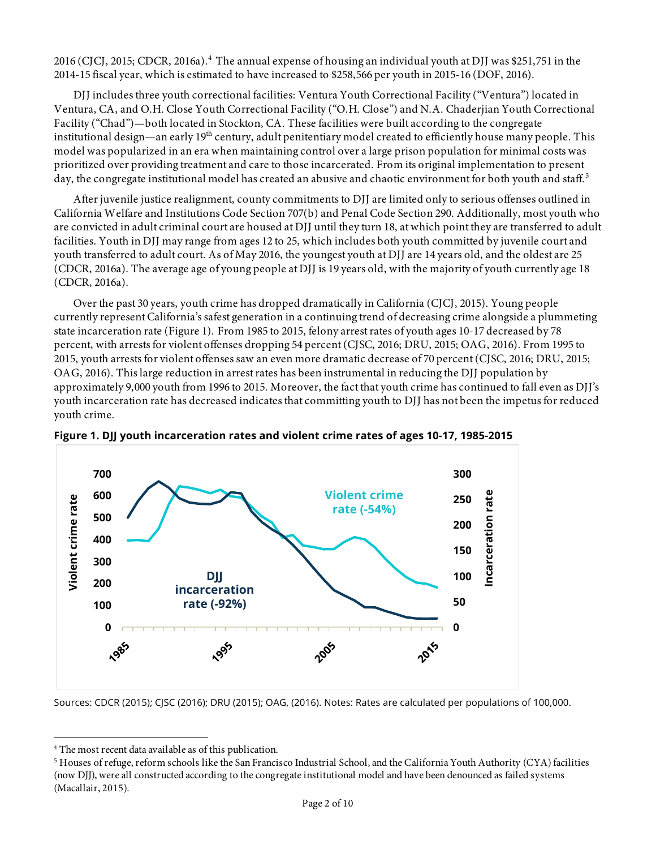2016 (CJCJ, 2015; CDCR, 2016a).<sup>4</sup> The annual expense of housing an individual youth at DJJ was \$251,751 in the 2014-15 fiscal year, which is estimated to have increased to \$258,566 per youth in 2015-16 (DOF, 2016).

DJJ includes three youth correctional facilities: Ventura Youth Correctional Facility ("Ventura") located in Ventura, CA, and O.H. Close Youth Correctional Facility ("O.H. Close") and N.A. Chaderjian Youth Correctional Facility ("Chad")—both located in Stockton, CA. These facilities were built according to the congregate institutional design—an early 19<sup>th</sup> century, adult penitentiary model created to efficiently house many people. This model was popularized in an era when maintaining control over a large prison population for minimal costs was prioritized over providing treatment and care to those incarcerated. From its original implementation to present day, the congregate institutional model has created an abusive and chaotic environment for both youth and staff. 5

After juvenile justice realignment, county commitments to DJJ are limited only to serious offenses outlined in California Welfare and Institutions Code Section 707(b) and Penal Code Section 290. Additionally, most youth who are convicted in adult criminal court are housed at DJJ until they turn 18, at which point they are transferred to adult facilities. Youth in DJJ may range from ages 12 to 25, which includes both youth committed by juvenile court and youth transferred to adult court. As of May 2016, the youngest youth at DJJ are 14 years old, and the oldest are 25 (CDCR, 2016a). The average age of young people at DJJ is 19 years old, with the majority of youth currently age 18 (CDCR, 2016a).

Over the past 30 years, youth crime has dropped dramatically in California (CJCJ, 2015). Young people currently represent California's safest generation in a continuing trend of decreasing crime alongside a plummeting state incarceration rate (Figure 1). From 1985 to 2015, felony arrest rates of youth ages 10-17 decreased by 78 percent, with arrests for violent offenses dropping 54 percent (CJSC, 2016; DRU, 2015; OAG, 2016). From 1995 to 2015, youth arrests for violent offenses saw an even more dramatic decrease of 70 percent (CJSC, 2016; DRU, 2015; OAG, 2016). This large reduction in arrest rates has been instrumental in reducing the DJJ population by approximately 9,000 youth from 1996 to 2015. Moreover, the fact that youth crime has continued to fall even as DJJ's youth incarceration rate has decreased indicates that committing youth to DJJ has not been the impetus for reduced youth crime.





Sources: CDCR (2015); CJSC (2016); DRU (2015); OAG, (2016). Notes: Rates are calculated per populations of 100,000.

 

<sup>4</sup> The most recent data available as of this publication.

 $^5$  Houses of refuge, reform schools like the San Francisco Industrial School, and the California Youth Authority (CYA) facilities (now DJJ), were all constructed according to the congregate institutional model and have been denounced as failed systems (Macallair, 2015).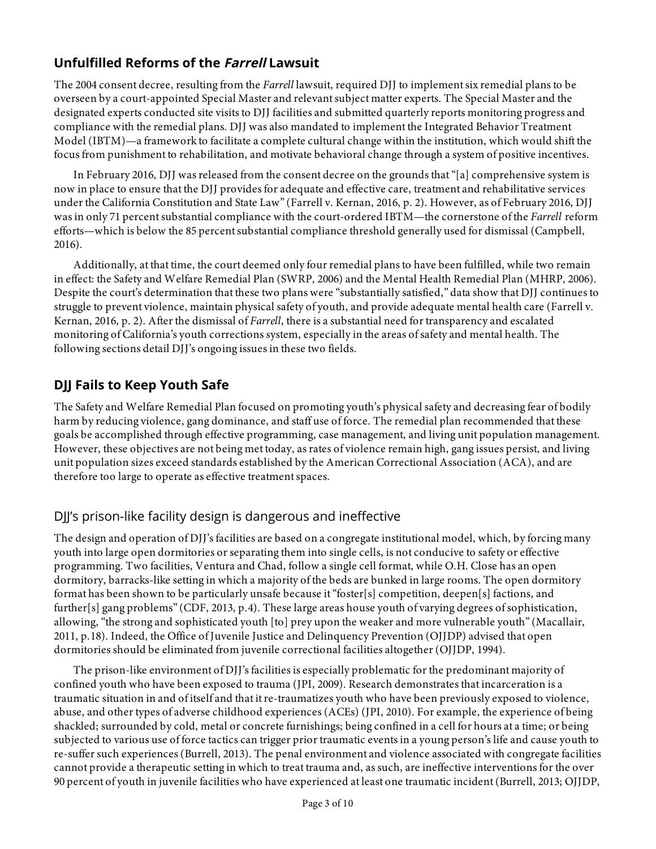#### **Unfulfilled Reforms of the Farrell Lawsuit**

The 2004 consent decree, resulting from the *Farrell* lawsuit, required DJJ to implement six remedial plans to be overseen by a court-appointed Special Master and relevant subject matter experts. The Special Master and the designated experts conducted site visits to DJJ facilities and submitted quarterly reports monitoring progress and compliance with the remedial plans. DJJ was also mandated to implement the Integrated Behavior Treatment Model (IBTM)—a framework to facilitate a complete cultural change within the institution, which would shift the focus from punishment to rehabilitation, and motivate behavioral change through a system of positive incentives.

In February 2016, DJJ was released from the consent decree on the grounds that "[a] comprehensive system is now in place to ensure that the DJJ provides for adequate and effective care, treatment and rehabilitative services under the California Constitution and State Law" (Farrell v. Kernan, 2016, p. 2). However, as of February 2016, DJJ was in only 71 percent substantial compliance with the court-ordered IBTM—the cornerstone of the *Farrell* reform efforts—which is below the 85 percent substantial compliance threshold generally used for dismissal (Campbell, 2016).

Additionally, at that time, the court deemed only four remedial plans to have been fulfilled, while two remain in effect: the Safety and Welfare Remedial Plan (SWRP, 2006) and the Mental Health Remedial Plan (MHRP, 2006). Despite the court's determination that these two plans were "substantially satisfied," data show that DJJ continues to struggle to prevent violence, maintain physical safety of youth, and provide adequate mental health care (Farrell v. Kernan, 2016, p. 2). After the dismissal of *Farrell*, there is a substantial need for transparency and escalated monitoring of California's youth corrections system, especially in the areas of safety and mental health. The following sections detail DJJ's ongoing issues in these two fields.

## **DJJ Fails to Keep Youth Safe**

The Safety and Welfare Remedial Plan focused on promoting youth's physical safety and decreasing fear of bodily harm by reducing violence, gang dominance, and staff use of force. The remedial plan recommended that these goals be accomplished through effective programming, case management, and living unit population management. However, these objectives are not being met today, as rates of violence remain high, gang issues persist, and living unit population sizes exceed standards established by the American Correctional Association (ACA), and are therefore too large to operate as effective treatment spaces.

#### DJJ's prison-like facility design is dangerous and ineffective

The design and operation of DJJ's facilities are based on a congregate institutional model, which, by forcing many youth into large open dormitories or separating them into single cells, is not conducive to safety or effective programming. Two facilities, Ventura and Chad, follow a single cell format, while O.H. Close has an open dormitory, barracks-like setting in which a majority of the beds are bunked in large rooms. The open dormitory format has been shown to be particularly unsafe because it "foster[s] competition, deepen[s] factions, and further[s] gang problems" (CDF, 2013, p.4). These large areas house youth of varying degrees of sophistication, allowing, "the strong and sophisticated youth [to] prey upon the weaker and more vulnerable youth" (Macallair, 2011, p.18). Indeed, the Office of Juvenile Justice and Delinquency Prevention (OJJDP) advised that open dormitories should be eliminated from juvenile correctional facilities altogether (OJJDP, 1994).

The prison-like environment of DJJ's facilities is especially problematic for the predominant majority of confined youth who have been exposed to trauma (JPI, 2009). Research demonstrates that incarceration is a traumatic situation in and of itself and that it re-traumatizes youth who have been previously exposed to violence, abuse, and other types of adverse childhood experiences (ACEs) (JPI, 2010). For example, the experience of being shackled; surrounded by cold, metal or concrete furnishings; being confined in a cell for hours at a time; or being subjected to various use of force tactics can trigger prior traumatic events in a young person's life and cause youth to re-suffer such experiences (Burrell, 2013). The penal environment and violence associated with congregate facilities cannot provide a therapeutic setting in which to treat trauma and, as such, are ineffective interventions for the over 90 percent of youth in juvenile facilities who have experienced at least one traumatic incident (Burrell, 2013; OJJDP,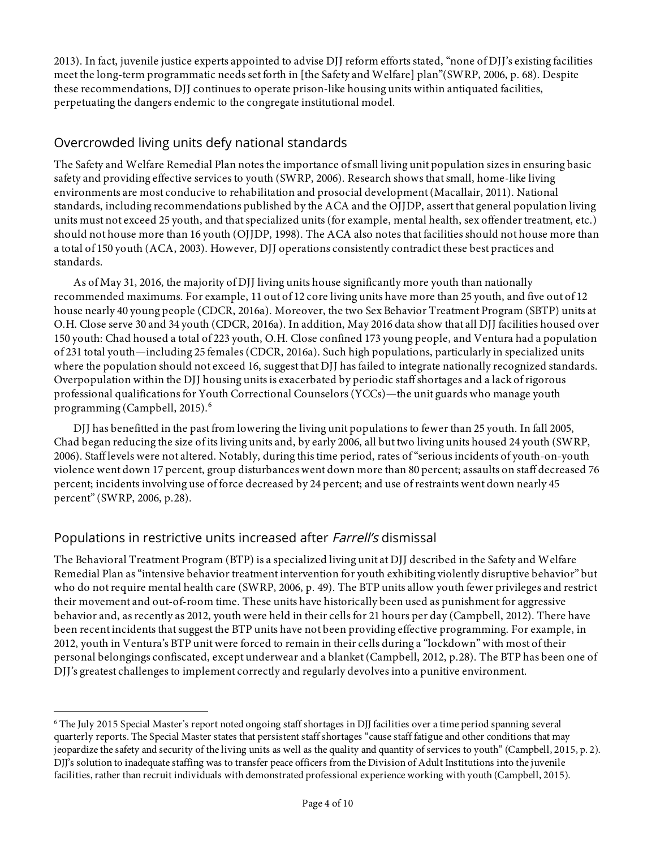2013). In fact, juvenile justice experts appointed to advise DJJ reform efforts stated, "none of DJJ's existing facilities meet the long-term programmatic needs set forth in [the Safety and Welfare] plan"(SWRP, 2006, p. 68). Despite these recommendations, DJJ continues to operate prison-like housing units within antiquated facilities, perpetuating the dangers endemic to the congregate institutional model.

#### Overcrowded living units defy national standards

The Safety and Welfare Remedial Plan notes the importance of small living unit population sizes in ensuring basic safety and providing effective services to youth (SWRP, 2006). Research shows that small, home-like living environments are most conducive to rehabilitation and prosocial development (Macallair, 2011). National standards, including recommendations published by the ACA and the OJJDP, assert that general population living units must not exceed 25 youth, and that specialized units (for example, mental health, sex offender treatment, etc.) should not house more than 16 youth (OJJDP, 1998). The ACA also notes that facilities should not house more than a total of 150 youth (ACA, 2003). However, DJJ operations consistently contradict these best practices and standards.

As of May 31, 2016, the majority of DJJ living units house significantly more youth than nationally recommended maximums. For example, 11 out of 12 core living units have more than 25 youth, and five out of 12 house nearly 40 young people (CDCR, 2016a). Moreover, the two Sex Behavior Treatment Program (SBTP) units at O.H. Close serve 30 and 34 youth (CDCR, 2016a). In addition, May 2016 data show that all DJJ facilities housed over 150 youth: Chad housed a total of 223 youth, O.H. Close confined 173 young people, and Ventura had a population of 231 total youth—including 25 females (CDCR, 2016a). Such high populations, particularly in specialized units where the population should not exceed 16, suggest that DJJ has failed to integrate nationally recognized standards. Overpopulation within the DJJ housing units is exacerbated by periodic staff shortages and a lack of rigorous professional qualifications for Youth Correctional Counselors (YCCs)—the unit guards who manage youth programming (Campbell, 2015). 6

DJJ has benefitted in the past from lowering the living unit populations to fewer than 25 youth. In fall 2005, Chad began reducing the size of its living units and, by early 2006, all but two living units housed 24 youth (SWRP, 2006). Staff levels were not altered. Notably, during this time period, rates of "serious incidents of youth-on-youth violence went down 17 percent, group disturbances went down more than 80 percent; assaults on staff decreased 76 percent; incidents involving use of force decreased by 24 percent; and use of restraints went down nearly 45 percent" (SWRP, 2006, p.28).

#### Populations in restrictive units increased after *Farrell's* dismissal

The Behavioral Treatment Program (BTP) is a specialized living unit at DJJ described in the Safety and Welfare Remedial Plan as "intensive behavior treatment intervention for youth exhibiting violently disruptive behavior" but who do not require mental health care (SWRP, 2006, p. 49). The BTP units allow youth fewer privileges and restrict their movement and out-of-room time. These units have historically been used as punishment for aggressive behavior and, as recently as 2012, youth were held in their cells for 21 hours per day (Campbell, 2012). There have been recent incidents that suggest the BTP units have not been providing effective programming. For example, in 2012, youth in Ventura's BTP unit were forced to remain in their cells during a "lockdown" with most of their personal belongings confiscated, except underwear and a blanket(Campbell, 2012, p.28). The BTP has been one of DJJ's greatest challenges to implement correctly and regularly devolves into a punitive environment.

 <sup>6</sup> The July 2015 Special Master's report noted ongoing staff shortages in DJJ facilities over a time period spanning several quarterly reports. The Special Master states that persistent staff shortages "cause staff fatigue and other conditions that may jeopardize the safety and security of the living units as well as the quality and quantity of services to youth" (Campbell, 2015, p. 2). DJJ's solution to inadequate staffing was to transfer peace officers from the Division of Adult Institutions into the juvenile facilities, rather than recruit individuals with demonstrated professional experience working with youth (Campbell, 2015).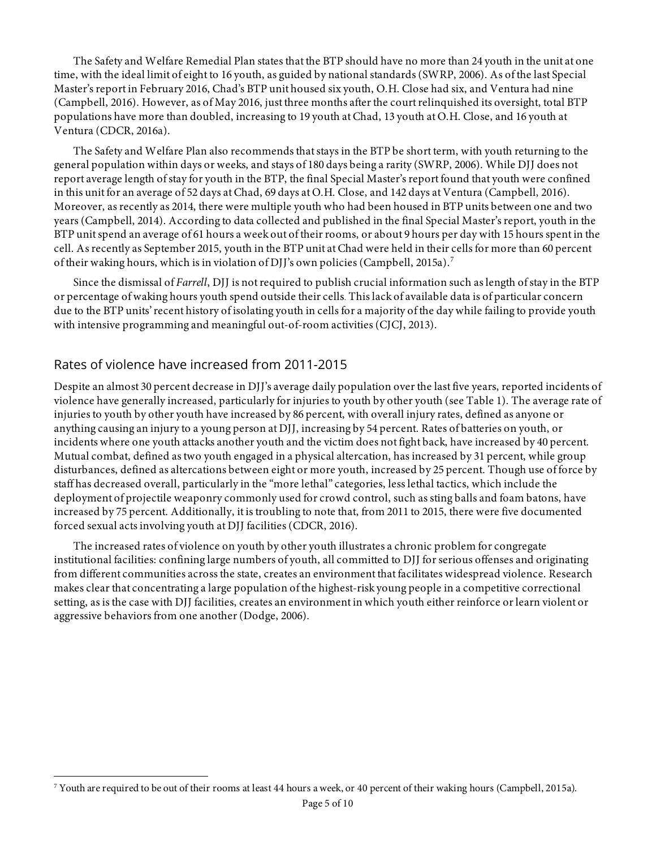The Safety and Welfare Remedial Plan states that the BTP should have no more than 24 youth in the unit at one time, with the ideal limit of eight to 16 youth, as guided by national standards (SWRP, 2006). As of the last Special Master's report in February 2016, Chad's BTP unit housed six youth, O.H. Close had six, and Ventura had nine (Campbell, 2016). However, as of May 2016, just three months after the court relinquished its oversight, total BTP populations have more than doubled, increasing to 19 youth at Chad, 13 youth at O.H. Close, and 16 youth at Ventura (CDCR, 2016a).

The Safety and Welfare Plan also recommends that stays in the BTP be short term, with youth returning to the general population within days or weeks, and stays of 180 days being a rarity (SWRP, 2006). While DJJ does not report average length of stay for youth in the BTP, the final Special Master's report found that youth were confined in this unit for an average of 52 days at Chad, 69 days at O.H. Close, and 142 days at Ventura (Campbell, 2016). Moreover, as recently as 2014, there were multiple youth who had been housed in BTP units between one and two years (Campbell, 2014). According to data collected and published in the final Special Master's report, youth in the BTP unit spend an average of 61 hours a week out of their rooms, or about 9 hours per day with 15 hours spent in the cell. As recently as September 2015, youth in the BTP unit at Chad were held in their cells for more than 60 percent of their waking hours, which is in violation of DJJ's own policies (Campbell, 2015a).<sup>7</sup>

Since the dismissal of *Farrell*, DJJ is not required to publish crucial information such as length of stay in the BTP or percentage of waking hours youth spend outside their cells. This lack of available data is of particular concern due to the BTP units' recent history of isolating youth in cells for a majority of the day while failing to provide youth with intensive programming and meaningful out-of-room activities (CJCJ, 2013).

#### Rates of violence have increased from 2011-2015

 

Despite an almost 30 percent decrease in DJJ's average daily population overthe last five years, reported incidents of violence have generally increased, particularly for injuries to youth by other youth (see Table 1). The average rate of injuries to youth by other youth have increased by 86 percent, with overall injury rates, defined as anyone or anything causing an injury to a young person at DJJ, increasing by 54 percent. Rates of batteries on youth, or incidents where one youth attacks another youth and the victim does not fight back, have increased by 40 percent. Mutual combat, defined as two youth engaged in a physical altercation, has increased by 31 percent, while group disturbances, defined as altercations between eight or more youth, increased by 25 percent. Though use of force by staff has decreased overall, particularly in the "more lethal" categories, less lethal tactics, which include the deployment of projectile weaponry commonly used for crowd control, such as sting balls and foam batons, have increased by 75 percent. Additionally, it is troubling to note that, from 2011 to 2015, there were five documented forced sexual acts involving youth at DJJ facilities (CDCR, 2016).

The increased rates of violence on youth by other youth illustrates a chronic problem for congregate institutional facilities: confining large numbers of youth, all committed to DJJ for serious offenses and originating from different communities across the state, creates an environment that facilitates widespread violence. Research makes clear that concentrating a large population of the highest-risk young people in a competitive correctional setting, as is the case with DJJ facilities, creates an environment in which youth either reinforce or learn violent or aggressive behaviors from one another(Dodge, 2006).

<sup>7</sup> Youth are required to be out of their rooms at least 44 hours a week, or 40 percent of their waking hours (Campbell, 2015a).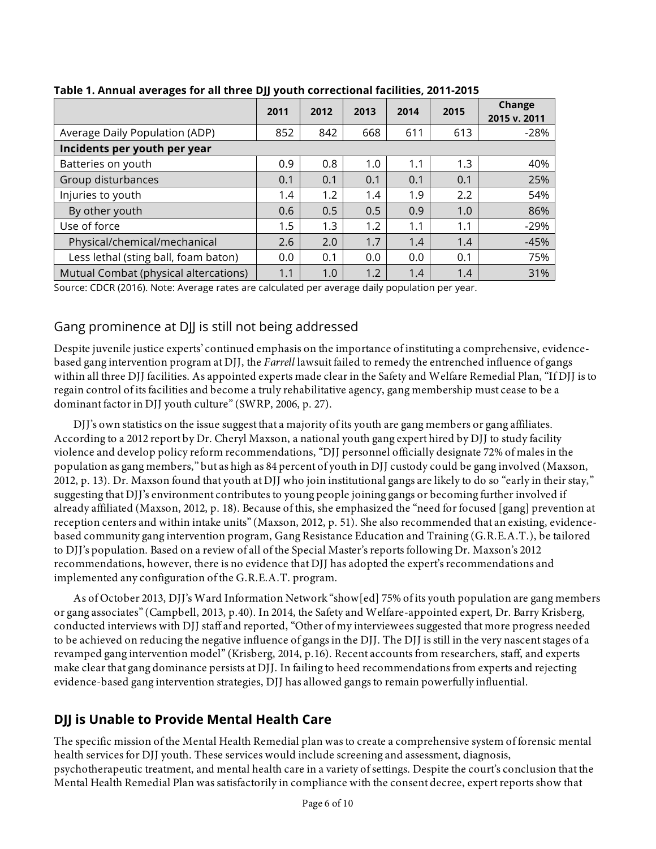|                                       | 2011 | 2012 | 2013 | 2014 | 2015 | <b>Change</b><br>2015 v. 2011 |
|---------------------------------------|------|------|------|------|------|-------------------------------|
| Average Daily Population (ADP)        | 852  | 842  | 668  | 611  | 613  | $-28%$                        |
| Incidents per youth per year          |      |      |      |      |      |                               |
| Batteries on youth                    | 0.9  | 0.8  | 1.0  | 1.1  | 1.3  | 40%                           |
| Group disturbances                    | 0.1  | 0.1  | 0.1  | 0.1  | 0.1  | 25%                           |
| Injuries to youth                     | 1.4  | 1.2  | 1.4  | 1.9  | 2.2  | 54%                           |
| By other youth                        | 0.6  | 0.5  | 0.5  | 0.9  | 1.0  | 86%                           |
| Use of force                          | 1.5  | 1.3  | 1.2  | 1.1  | 1.1  | $-29%$                        |
| Physical/chemical/mechanical          | 2.6  | 2.0  | 1.7  | 1.4  | 1.4  | $-45%$                        |
| Less lethal (sting ball, foam baton)  | 0.0  | 0.1  | 0.0  | 0.0  | 0.1  | 75%                           |
| Mutual Combat (physical altercations) | 1.1  | 1.0  | 1.2  | 1.4  | 1.4  | 31%                           |

**Table 1. Annual averages for all three DJJ youth correctional facilities, 2011-2015**

Source: CDCR (2016). Note: Average rates are calculated per average daily population per year.

#### Gang prominence at DJJ is still not being addressed

Despite juvenile justice experts' continued emphasis on the importance of instituting a comprehensive, evidencebased gang intervention program at DJJ, the *Farrell* lawsuit failed to remedy the entrenched influence of gangs within all three DJJ facilities. As appointed experts made clear in the Safety and Welfare Remedial Plan, "If DJJ is to regain control of its facilities and become a truly rehabilitative agency, gang membership must cease to be a dominant factor in DJJ youth culture" (SWRP, 2006, p. 27).

DJJ's own statistics on the issue suggest that a majority of its youth are gang members or gang affiliates. According to a 2012 report by Dr. Cheryl Maxson, a national youth gang expert hired by DJJ to study facility violence and develop policy reform recommendations, "DJJ personnel officially designate 72% of males in the population as gang members," but as high as 84 percent of youth in DJJ custody could be gang involved (Maxson, 2012, p. 13). Dr. Maxson found that youth at DJJ who join institutional gangs are likely to do so "early in their stay," suggesting that DJJ's environment contributes to young people joining gangs or becoming further involved if already affiliated (Maxson, 2012, p. 18). Because of this, she emphasized the "need for focused [gang] prevention at reception centers and within intake units" (Maxson, 2012, p. 51). She also recommended that an existing, evidencebased community gang intervention program, Gang Resistance Education and Training (G.R.E.A.T.), be tailored to DJJ's population. Based on a review of all of the Special Master's reports following Dr. Maxson's 2012 recommendations, however, there is no evidence that DJJ has adopted the expert's recommendations and implemented any configuration of the G.R.E.A.T. program.

As of October 2013, DJJ's Ward Information Network "show[ed] 75% of its youth population are gang members or gang associates" (Campbell, 2013, p.40). In 2014, the Safety and Welfare-appointed expert, Dr. Barry Krisberg, conducted interviews with DJJ staff and reported, "Other of my interviewees suggested that more progress needed to be achieved on reducing the negative influence of gangs in the DJJ. The DJJ is still in the very nascent stages of a revamped gang intervention model" (Krisberg, 2014, p.16). Recent accounts from researchers, staff, and experts make clear that gang dominance persists at DJJ. In failing to heed recommendations from experts and rejecting evidence-based gang intervention strategies, DJJ has allowed gangs to remain powerfully influential.

## **DJJ is Unable to Provide Mental Health Care**

The specific mission of the Mental Health Remedial plan was to create a comprehensive system of forensic mental health services for DJJ youth. These services would include screening and assessment, diagnosis, psychotherapeutic treatment, and mental health care in a variety of settings. Despite the court's conclusion that the Mental Health Remedial Plan was satisfactorily in compliance with the consent decree, expert reports show that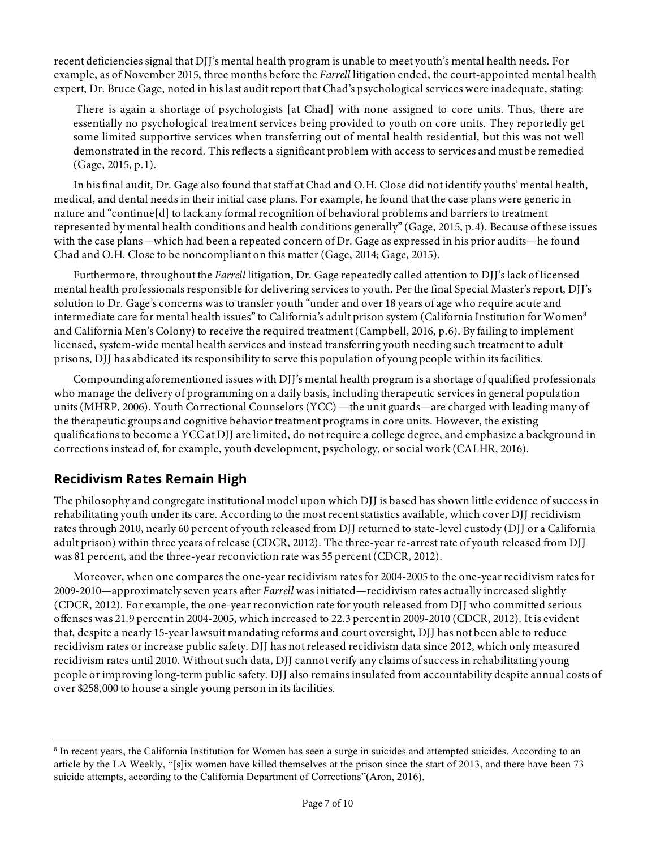recent deficiencies signal that DJJ's mental health program is unable to meet youth's mental health needs. For example, as of November 2015, three months before the *Farrell* litigation ended, the court-appointed mental health expert, Dr. Bruce Gage, noted in his last audit report that Chad's psychological services were inadequate, stating:

There is again a shortage of psychologists [at Chad] with none assigned to core units. Thus, there are essentially no psychological treatment services being provided to youth on core units. They reportedly get some limited supportive services when transferring out of mental health residential, but this was not well demonstrated in the record. This reflects a significant problem with access to services and must be remedied (Gage, 2015, p.1).

In his final audit, Dr. Gage also found that staff at Chad and O.H. Close did not identify youths' mental health, medical, and dental needs in their initial case plans. For example, he found that the case plans were generic in nature and "continue[d] to lack any formal recognition of behavioral problems and barriers to treatment represented by mental health conditions and health conditions generally" (Gage, 2015, p.4). Because of these issues with the case plans—which had been a repeated concern of Dr. Gage as expressed in his prior audits—he found Chad and O.H. Close to be noncompliant on this matter (Gage, 2014; Gage, 2015).

Furthermore, throughout the *Farrell* litigation, Dr. Gage repeatedly called attention to DJJ's lack of licensed mental health professionals responsible for delivering services to youth. Per the final Special Master's report, DJJ's solution to Dr. Gage's concerns was to transfer youth "under and over 18 years of age who require acute and intermediate care for mental health issues" to California's adult prison system (California Institution for Women<sup>8</sup> and California Men's Colony) to receive the required treatment (Campbell, 2016, p.6). By failing to implement licensed, system-wide mental health services and instead transferring youth needing such treatment to adult prisons, DJJ has abdicated its responsibility to serve this population of young people within its facilities.

Compounding aforementioned issues with DJJ's mental health program is a shortage of qualified professionals who manage the delivery of programming on a daily basis, including therapeutic services in general population units (MHRP, 2006). Youth Correctional Counselors (YCC) —the unit guards—are charged with leading many of the therapeutic groups and cognitive behavior treatment programs in core units. However, the existing qualifications to become a YCC at DJJ are limited, do not require a college degree, and emphasize a background in corrections instead of, for example, youth development, psychology, or social work (CALHR, 2016).

#### **Recidivism Rates Remain High**

 

The philosophy and congregate institutional model upon which DJJ is based has shown little evidence of success in rehabilitating youth under its care. According to the most recent statistics available, which cover DJJ recidivism rates through 2010, nearly 60 percent of youth released from DJJ returned to state-level custody (DJJ or a California adult prison) within three years of release (CDCR, 2012). The three-year re-arrest rate of youth released from DJJ was 81 percent, and the three-year reconviction rate was 55 percent (CDCR, 2012).

Moreover, when one compares the one-year recidivism rates for 2004-2005 to the one-year recidivism rates for 2009-2010—approximately seven years after *Farrell* was initiated—recidivism rates actually increased slightly (CDCR, 2012). For example, the one-year reconviction rate for youth released from DJJ who committed serious offenses was 21.9 percent in 2004-2005, which increased to 22.3 percent in 2009-2010 (CDCR, 2012). It is evident that, despite a nearly 15-year lawsuit mandating reforms and court oversight, DJJ has not been able to reduce recidivism rates or increase public safety. DJJ has not released recidivism data since 2012, which only measured recidivism rates until 2010. Without such data, DJJ cannot verify any claims of success in rehabilitating young people or improving long-term public safety. DJJ also remains insulated from accountability despite annual costs of over \$258,000 to house a single young person in its facilities.

<sup>&</sup>lt;sup>8</sup> In recent years, the California Institution for Women has seen a surge in suicides and attempted suicides. According to an article by the LA Weekly, "[s]ix women have killed themselves at the prison since the start of 2013, and there have been 73 suicide attempts, according to the California Department of Corrections"(Aron, 2016).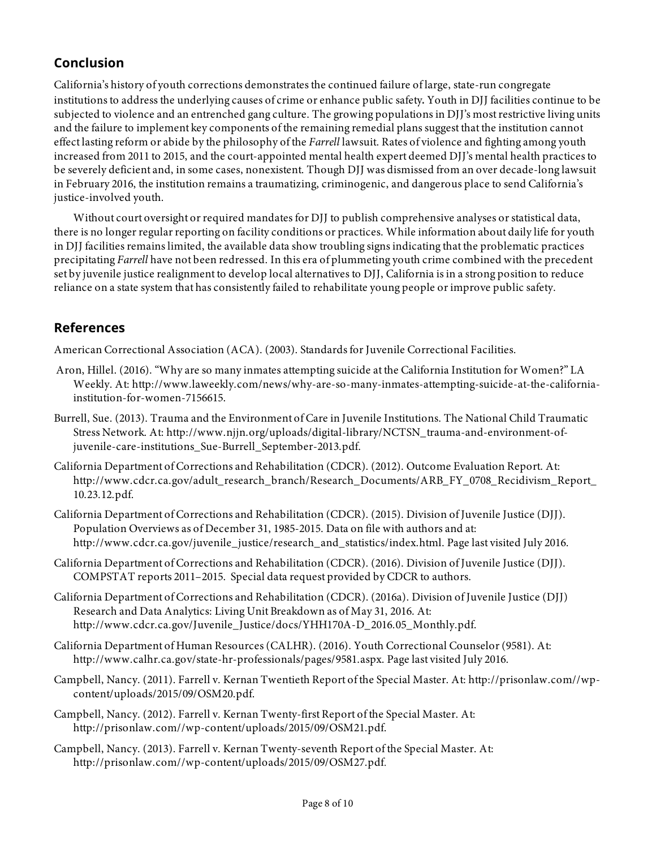#### **Conclusion**

California's history of youth corrections demonstrates the continued failure of large, state-run congregate institutions to address the underlying causes of crime or enhance public safety. Youth in DJJ facilities continue to be subjected to violence and an entrenched gang culture. The growing populations in DJJ's most restrictive living units and the failure to implement key components of the remaining remedial plans suggest that the institution cannot effect lasting reform or abide by the philosophy of the *Farrell* lawsuit. Rates of violence and fighting among youth increased from 2011 to 2015, and the court-appointed mental health expert deemed DJJ's mental health practices to be severely deficient and, in some cases, nonexistent. Though DJJ was dismissed from an over decade-long lawsuit in February 2016, the institution remains a traumatizing, criminogenic, and dangerous place to send California's justice-involved youth.

Without court oversight or required mandates for DJJ to publish comprehensive analyses or statistical data, there is no longer regular reporting on facility conditions or practices. While information about daily life for youth in DJJ facilities remains limited, the available data show troubling signs indicating that the problematic practices precipitating *Farrell* have not been redressed. In this era of plummeting youth crime combined with the precedent set by juvenile justice realignment to develop local alternatives to DJJ, California is in a strong position to reduce reliance on a state system that has consistently failed to rehabilitate young people or improve public safety.

#### **References**

American Correctional Association (ACA). (2003). Standards for Juvenile Correctional Facilities.

- Aron, Hillel. (2016). "Why are so many inmates attempting suicide at the California Institution for Women?" LA Weekly. At: http://www.laweekly.com/news/why-are-so-many-inmates-attempting-suicide-at-the-californiainstitution-for-women-7156615.
- Burrell, Sue. (2013). Trauma and the Environment of Care in Juvenile Institutions. The National Child Traumatic Stress Network. At: http://www.njjn.org/uploads/digital-library/NCTSN\_trauma-and-environment-ofjuvenile-care-institutions\_Sue-Burrell\_September-2013.pdf.
- California Department of Corrections and Rehabilitation (CDCR). (2012). Outcome Evaluation Report. At: http://www.cdcr.ca.gov/adult\_research\_branch/Research\_Documents/ARB\_FY\_0708\_Recidivism\_Report\_ 10.23.12.pdf.
- California Department of Corrections and Rehabilitation (CDCR). (2015). Division of Juvenile Justice (DJJ). Population Overviews as of December 31, 1985-2015. Data on file with authors and at: http://www.cdcr.ca.gov/juvenile\_justice/research\_and\_statistics/index.html. Page last visited July 2016.
- California Department of Corrections and Rehabilitation (CDCR). (2016). Division of Juvenile Justice (DJJ). COMPSTAT reports 2011–2015. Special data request provided by CDCR to authors.
- California Department of Corrections and Rehabilitation (CDCR). (2016a). Division of Juvenile Justice (DJJ) Research and Data Analytics: Living Unit Breakdown as of May 31, 2016. At: http://www.cdcr.ca.gov/Juvenile\_Justice/docs/YHH170A-D\_2016.05\_Monthly.pdf.
- California Department of Human Resources (CALHR). (2016). Youth Correctional Counselor (9581). At: http://www.calhr.ca.gov/state-hr-professionals/pages/9581.aspx. Page last visited July 2016.
- Campbell, Nancy. (2011). Farrell v. Kernan Twentieth Report of the Special Master. At: http://prisonlaw.com//wpcontent/uploads/2015/09/OSM20.pdf.
- Campbell, Nancy. (2012). Farrell v. Kernan Twenty-first Report of the Special Master. At: http://prisonlaw.com//wp-content/uploads/2015/09/OSM21.pdf.
- Campbell, Nancy. (2013). Farrell v. Kernan Twenty-seventh Report of the Special Master. At: http://prisonlaw.com//wp-content/uploads/2015/09/OSM27.pdf.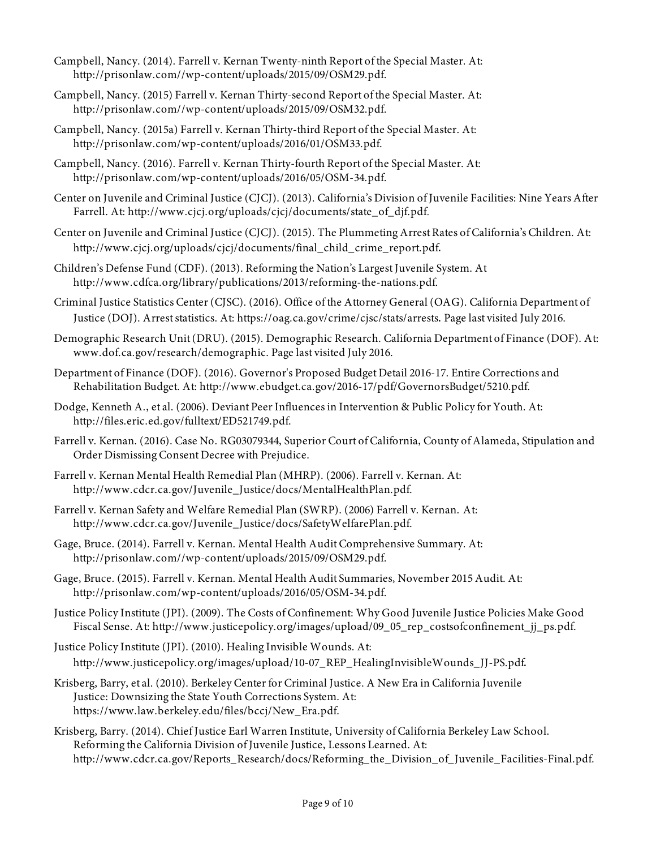- Campbell, Nancy. (2014). Farrell v. Kernan Twenty-ninth Report of the Special Master. At: http://prisonlaw.com//wp-content/uploads/2015/09/OSM29.pdf.
- Campbell, Nancy. (2015) Farrell v. Kernan Thirty-second Report of the Special Master. At: http://prisonlaw.com//wp-content/uploads/2015/09/OSM32.pdf.
- Campbell, Nancy. (2015a) Farrell v. Kernan Thirty-third Report of the Special Master. At: http://prisonlaw.com/wp-content/uploads/2016/01/OSM33.pdf.
- Campbell, Nancy. (2016). Farrell v. Kernan Thirty-fourth Report of the Special Master. At: http://prisonlaw.com/wp-content/uploads/2016/05/OSM-34.pdf.
- Center on Juvenile and Criminal Justice (CJCJ). (2013). California's Division of Juvenile Facilities: Nine Years After Farrell. At: http://www.cjcj.org/uploads/cjcj/documents/state\_of\_djf.pdf.
- Center on Juvenile and Criminal Justice (CJCJ). (2015). The Plummeting Arrest Rates of California's Children. At: http://www.cjcj.org/uploads/cjcj/documents/final\_child\_crime\_report.pdf.
- Children's Defense Fund (CDF). (2013). Reforming the Nation's Largest Juvenile System. At http://www.cdfca.org/library/publications/2013/reforming-the-nations.pdf.
- Criminal Justice Statistics Center (CJSC). (2016). Office of the Attorney General (OAG). California Department of Justice (DOJ). Arrest statistics. At: https://oag.ca.gov/crime/cjsc/stats/arrests. Page last visited July 2016.
- Demographic Research Unit (DRU). (2015). Demographic Research. California Department of Finance (DOF). At: www.dof.ca.gov/research/demographic. Page last visited July 2016.
- Department of Finance (DOF). (2016). Governor's Proposed Budget Detail 2016-17. Entire Corrections and Rehabilitation Budget. At: http://www.ebudget.ca.gov/2016-17/pdf/GovernorsBudget/5210.pdf.
- Dodge, Kenneth A., et al. (2006). Deviant Peer Influences in Intervention & Public Policy for Youth. At: http://files.eric.ed.gov/fulltext/ED521749.pdf.
- Farrell v. Kernan. (2016). Case No. RG03079344, Superior Court of California, County of Alameda, Stipulation and Order Dismissing Consent Decree with Prejudice.
- Farrell v. Kernan Mental Health Remedial Plan (MHRP). (2006). Farrell v. Kernan. At: http://www.cdcr.ca.gov/Juvenile\_Justice/docs/MentalHealthPlan.pdf.
- Farrell v. Kernan Safety and Welfare Remedial Plan (SWRP). (2006) Farrell v. Kernan. At: http://www.cdcr.ca.gov/Juvenile\_Justice/docs/SafetyWelfarePlan.pdf.
- Gage, Bruce. (2014). Farrell v. Kernan. Mental Health Audit Comprehensive Summary. At: http://prisonlaw.com//wp-content/uploads/2015/09/OSM29.pdf.
- Gage, Bruce. (2015). Farrell v. Kernan. Mental Health Audit Summaries, November 2015 Audit. At: http://prisonlaw.com/wp-content/uploads/2016/05/OSM-34.pdf.
- Justice Policy Institute (JPI). (2009). The Costs of Confinement: Why Good Juvenile Justice Policies Make Good Fiscal Sense. At: http://www.justicepolicy.org/images/upload/09\_05\_rep\_costsofconfinement\_jj\_ps.pdf.
- Justice Policy Institute (JPI). (2010). Healing Invisible Wounds. At: http://www.justicepolicy.org/images/upload/10-07\_REP\_HealingInvisibleWounds\_JJ-PS.pdf.
- Krisberg, Barry, et al. (2010). Berkeley Center for Criminal Justice. A New Era in California Juvenile Justice: Downsizing the State Youth Corrections System. At: https://www.law.berkeley.edu/files/bccj/New\_Era.pdf.
- Krisberg, Barry. (2014). Chief Justice Earl Warren Institute, University of California Berkeley Law School. Reforming the California Division of Juvenile Justice, Lessons Learned. At: http://www.cdcr.ca.gov/Reports\_Research/docs/Reforming\_the\_Division\_of\_Juvenile\_Facilities-Final.pdf.